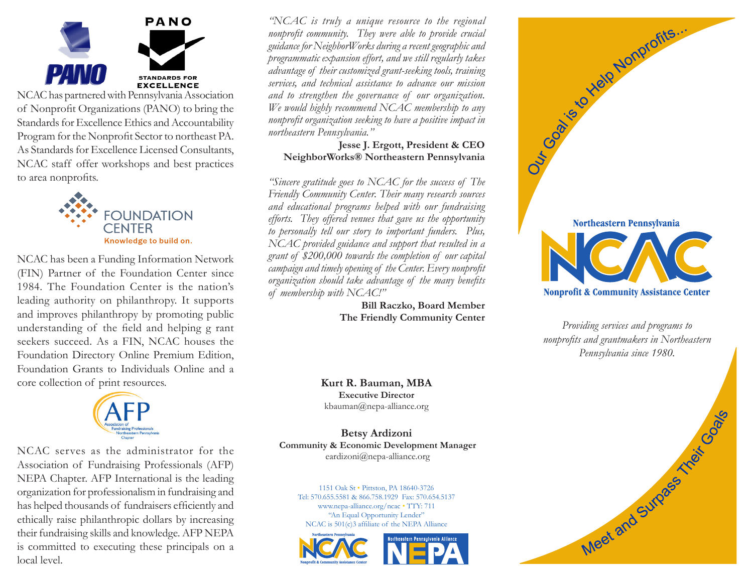

NCAC has partnered with Pennsylvania Association of Nonprofit Organizations (PANO) to bring the Standards for Excellence Ethics and Accountability Program for the Nonprofit Sector to northeast PA. As Standards for Excellence Licensed Consultants, NCAC staff offer workshops and best practices to area nonprofits.



NCAC has been a Funding Information Network (FIN) Partner of the Foundation Center since 1984. The Foundation Center is the nation's leading authority on philanthropy. It supports and improves philanthropy by promoting public understanding of the field and helping g rant seekers succeed. As a FIN, NCAC houses the Foundation Directory Online Premium Edition, Foundation Grants to Individuals Online and a core collection of print resources.



NCAC serves as the administrator for the Association of Fundraising Professionals (AFP) NEPA Chapter. AFP International is the leading organization for professionalism in fundraising and has helped thousands of fundraisers efficiently and ethically raise philanthropic dollars by increasing their fundraising skills and knowledge. AFP NEPA is committed to executing these principals on a local level.

*"NCAC is truly a unique resource to the regional nonprofit community. They were able to provide crucial guidance for NeighborWorks during a recent geographic and programmatic expansion effort, and we still regularly takes advantage of their customized grant-seeking tools, training services, and technical assistance to advance our mission and to strengthen the governance of our organization. We would highly recommend NCAC membership to any nonprofit organization seeking to have a positive impact in northeastern Pennsylvania."*

### **Jesse J. Ergott, President & CEO NeighborWorks® Northeastern Pennsylvania**

*"Sincere gratitude goes to NCAC for the success of The Friendly Community Center. Their many research sources and educational programs helped with our fundraising efforts. They offered venues that gave us the opportunity to personally tell our story to important funders. Plus, NCAC provided guidance and support that resulted in a grant of \$200,000 towards the completion of our capital campaign and timely opening of the Center. Every nonprofit organization should take advantage of the many benefits of membership with NCAC!"*

> **Bill Raczko, Board Member The Friendly Community Center**

**Kurt R. Bauman, MBA Executive Director** kbauman@nepa-alliance.org

**Betsy Ardizoni Community & Economic Development Manager** eardizoni@nepa-alliance.org

1151 Oak St • Pittston, PA 18640-3726 Tel: 570.655.5581 & 866.758.1929 Fax: 570.654.5137 www.nepa-alliance.org/ncac • TTY: 711 "An Equal Opportunity Lender" NCAC is 501(c)3 affiliate of the NEPA Alliance







*Providing services and programs to nonprofits and grantmakers in Northeastern Pennsylvania since 1980.*